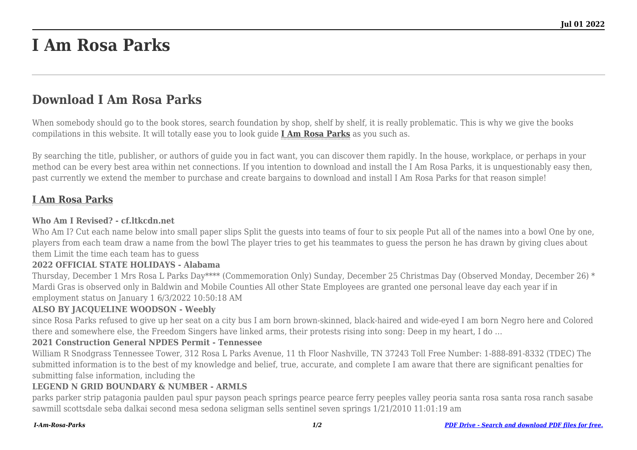# **I Am Rosa Parks**

# **Download I Am Rosa Parks**

When somebody should go to the book stores, search foundation by shop, shelf by shelf, it is really problematic. This is why we give the books compilations in this website. It will totally ease you to look guide **[I Am Rosa Parks](http://goldwoodgardens.com)** as you such as.

By searching the title, publisher, or authors of guide you in fact want, you can discover them rapidly. In the house, workplace, or perhaps in your method can be every best area within net connections. If you intention to download and install the I Am Rosa Parks, it is unquestionably easy then, past currently we extend the member to purchase and create bargains to download and install I Am Rosa Parks for that reason simple!

## **[I Am Rosa Parks](http://goldwoodgardens.com/I-Am-Rosa-Parks.pdf)**

#### **Who Am I Revised? - cf.ltkcdn.net**

Who Am I? Cut each name below into small paper slips Split the guests into teams of four to six people Put all of the names into a bowl One by one, players from each team draw a name from the bowl The player tries to get his teammates to guess the person he has drawn by giving clues about them Limit the time each team has to guess

#### **2022 OFFICIAL STATE HOLIDAYS - Alabama**

Thursday, December 1 Mrs Rosa L Parks Day\*\*\*\* (Commemoration Only) Sunday, December 25 Christmas Day (Observed Monday, December 26) \* Mardi Gras is observed only in Baldwin and Mobile Counties All other State Employees are granted one personal leave day each year if in employment status on January 1 6/3/2022 10:50:18 AM

#### **ALSO BY JACQUELINE WOODSON - Weebly**

since Rosa Parks refused to give up her seat on a city bus I am born brown-skinned, black-haired and wide-eyed I am born Negro here and Colored there and somewhere else, the Freedom Singers have linked arms, their protests rising into song: Deep in my heart, I do …

#### **2021 Construction General NPDES Permit - Tennessee**

William R Snodgrass Tennessee Tower, 312 Rosa L Parks Avenue, 11 th Floor Nashville, TN 37243 Toll Free Number: 1-888-891-8332 (TDEC) The submitted information is to the best of my knowledge and belief, true, accurate, and complete I am aware that there are significant penalties for submitting false information, including the

#### **LEGEND N GRID BOUNDARY & NUMBER - ARMLS**

parks parker strip patagonia paulden paul spur payson peach springs pearce pearce ferry peeples valley peoria santa rosa santa rosa ranch sasabe sawmill scottsdale seba dalkai second mesa sedona seligman sells sentinel seven springs 1/21/2010 11:01:19 am